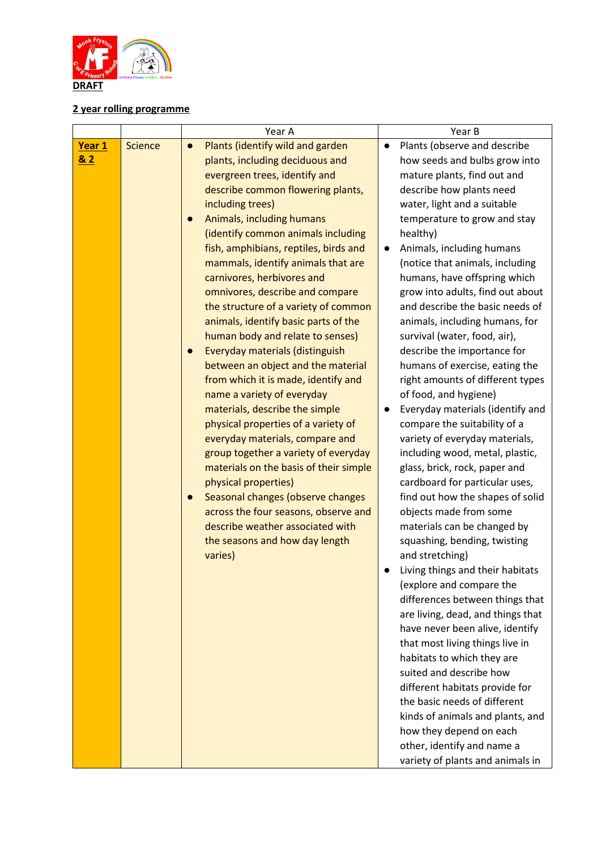

## **2 year rolling programme**

|        |                | Year A                                         | Year B                                                         |
|--------|----------------|------------------------------------------------|----------------------------------------------------------------|
| Year 1 | <b>Science</b> | Plants (identify wild and garden<br>$\bullet$  | Plants (observe and describe<br>$\bullet$                      |
| & 2    |                | plants, including deciduous and                | how seeds and bulbs grow into                                  |
|        |                | evergreen trees, identify and                  | mature plants, find out and                                    |
|        |                | describe common flowering plants,              | describe how plants need                                       |
|        |                | including trees)                               | water, light and a suitable                                    |
|        |                | Animals, including humans<br>$\bullet$         | temperature to grow and stay                                   |
|        |                | (identify common animals including             | healthy)                                                       |
|        |                | fish, amphibians, reptiles, birds and          | Animals, including humans                                      |
|        |                | mammals, identify animals that are             | (notice that animals, including                                |
|        |                | carnivores, herbivores and                     | humans, have offspring which                                   |
|        |                | omnivores, describe and compare                | grow into adults, find out about                               |
|        |                | the structure of a variety of common           | and describe the basic needs of                                |
|        |                | animals, identify basic parts of the           | animals, including humans, for                                 |
|        |                | human body and relate to senses)               | survival (water, food, air),                                   |
|        |                | Everyday materials (distinguish                | describe the importance for                                    |
|        |                | between an object and the material             | humans of exercise, eating the                                 |
|        |                | from which it is made, identify and            | right amounts of different types                               |
|        |                | name a variety of everyday                     | of food, and hygiene)                                          |
|        |                | materials, describe the simple                 | Everyday materials (identify and                               |
|        |                | physical properties of a variety of            | compare the suitability of a                                   |
|        |                | everyday materials, compare and                | variety of everyday materials,                                 |
|        |                | group together a variety of everyday           | including wood, metal, plastic,                                |
|        |                | materials on the basis of their simple         | glass, brick, rock, paper and                                  |
|        |                | physical properties)                           | cardboard for particular uses,                                 |
|        |                | Seasonal changes (observe changes<br>$\bullet$ | find out how the shapes of solid                               |
|        |                | across the four seasons, observe and           | objects made from some                                         |
|        |                | describe weather associated with               | materials can be changed by                                    |
|        |                | the seasons and how day length                 | squashing, bending, twisting                                   |
|        |                | varies)                                        | and stretching)                                                |
|        |                |                                                | Living things and their habitats                               |
|        |                |                                                | (explore and compare the                                       |
|        |                |                                                | differences between things that                                |
|        |                |                                                | are living, dead, and things that                              |
|        |                |                                                | have never been alive, identify                                |
|        |                |                                                | that most living things live in                                |
|        |                |                                                | habitats to which they are<br>suited and describe how          |
|        |                |                                                |                                                                |
|        |                |                                                | different habitats provide for<br>the basic needs of different |
|        |                |                                                |                                                                |
|        |                |                                                | kinds of animals and plants, and                               |
|        |                |                                                | how they depend on each<br>other, identify and name a          |
|        |                |                                                |                                                                |
|        |                |                                                | variety of plants and animals in                               |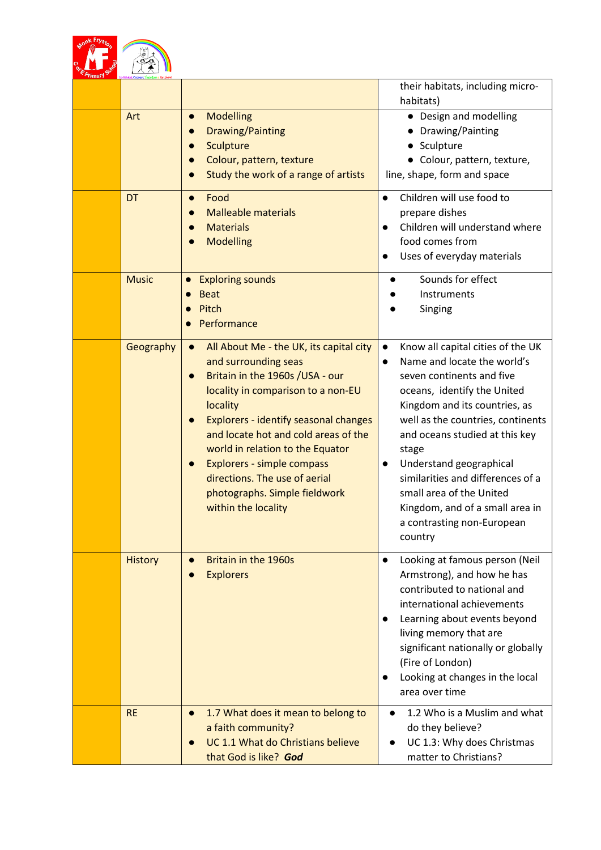

|                |                                                                                                                                                                                                                                                                                                                                                                                                                                                             | their habitats, including micro-<br>habitats)                                                                                                                                                                                                                                                                                                                                                                                                                |
|----------------|-------------------------------------------------------------------------------------------------------------------------------------------------------------------------------------------------------------------------------------------------------------------------------------------------------------------------------------------------------------------------------------------------------------------------------------------------------------|--------------------------------------------------------------------------------------------------------------------------------------------------------------------------------------------------------------------------------------------------------------------------------------------------------------------------------------------------------------------------------------------------------------------------------------------------------------|
| Art            | <b>Modelling</b><br>$\bullet$<br><b>Drawing/Painting</b><br>$\bullet$<br>Sculpture<br>Colour, pattern, texture<br>$\bullet$<br>Study the work of a range of artists<br>$\bullet$                                                                                                                                                                                                                                                                            | • Design and modelling<br>• Drawing/Painting<br>• Sculpture<br>• Colour, pattern, texture,<br>line, shape, form and space                                                                                                                                                                                                                                                                                                                                    |
| <b>DT</b>      | Food<br>$\bullet$<br><b>Malleable materials</b><br><b>Materials</b><br><b>Modelling</b><br>$\bullet$                                                                                                                                                                                                                                                                                                                                                        | Children will use food to<br>$\bullet$<br>prepare dishes<br>Children will understand where<br>$\bullet$<br>food comes from<br>Uses of everyday materials<br>$\bullet$                                                                                                                                                                                                                                                                                        |
| <b>Music</b>   | <b>Exploring sounds</b><br>$\bullet$<br><b>Beat</b><br>$\bullet$<br>Pitch<br>Performance                                                                                                                                                                                                                                                                                                                                                                    | Sounds for effect<br>Instruments<br>Singing                                                                                                                                                                                                                                                                                                                                                                                                                  |
| Geography      | All About Me - the UK, its capital city<br>$\bullet$<br>and surrounding seas<br>Britain in the 1960s /USA - our<br>$\bullet$<br>locality in comparison to a non-EU<br>locality<br><b>Explorers - identify seasonal changes</b><br>$\bullet$<br>and locate hot and cold areas of the<br>world in relation to the Equator<br>Explorers - simple compass<br>$\bullet$<br>directions. The use of aerial<br>photographs. Simple fieldwork<br>within the locality | Know all capital cities of the UK<br>$\bullet$<br>Name and locate the world's<br>$\bullet$<br>seven continents and five<br>oceans, identify the United<br>Kingdom and its countries, as<br>well as the countries, continents<br>and oceans studied at this key<br>stage<br>Understand geographical<br>$\bullet$<br>similarities and differences of a<br>small area of the United<br>Kingdom, and of a small area in<br>a contrasting non-European<br>country |
| <b>History</b> | Britain in the 1960s<br>$\bullet$<br><b>Explorers</b>                                                                                                                                                                                                                                                                                                                                                                                                       | Looking at famous person (Neil<br>$\bullet$<br>Armstrong), and how he has<br>contributed to national and<br>international achievements<br>Learning about events beyond<br>$\bullet$<br>living memory that are<br>significant nationally or globally<br>(Fire of London)<br>Looking at changes in the local<br>$\bullet$<br>area over time                                                                                                                    |
| <b>RE</b>      | 1.7 What does it mean to belong to<br>$\bullet$<br>a faith community?<br>UC 1.1 What do Christians believe<br>that God is like? God                                                                                                                                                                                                                                                                                                                         | 1.2 Who is a Muslim and what<br>$\bullet$<br>do they believe?<br>UC 1.3: Why does Christmas<br>matter to Christians?                                                                                                                                                                                                                                                                                                                                         |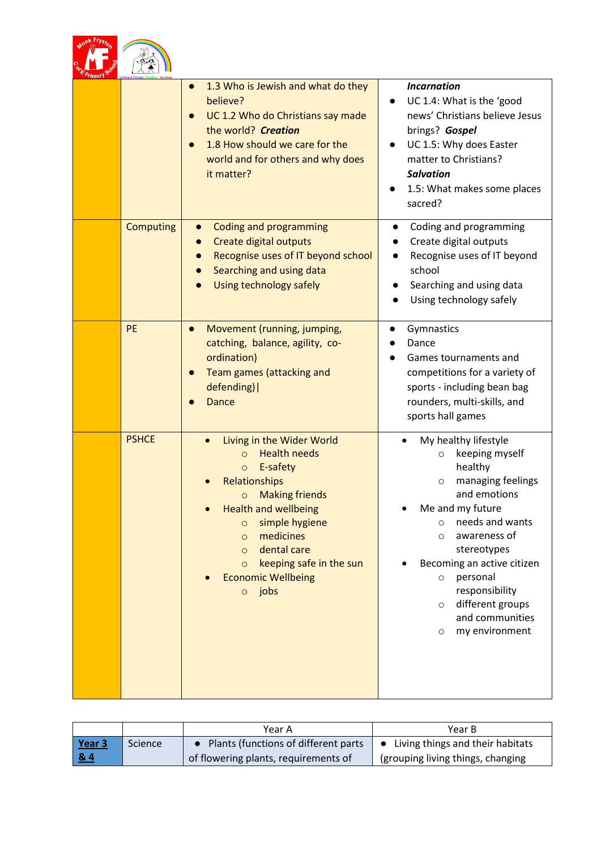|                  | 1.3 Who is Jewish and what do they<br>$\bullet$<br>believe?<br>UC 1.2 Who do Christians say made<br>the world? Creation<br>1.8 How should we care for the<br>world and for others and why does<br>it matter?                                                                                                                                | <b>Incarnation</b><br>UC 1.4: What is the 'good<br>news' Christians believe Jesus<br>brings? Gospel<br>UC 1.5: Why does Easter<br>matter to Christians?<br><b>Salvation</b><br>1.5: What makes some places<br>sacred?                                                                                                                                    |
|------------------|---------------------------------------------------------------------------------------------------------------------------------------------------------------------------------------------------------------------------------------------------------------------------------------------------------------------------------------------|----------------------------------------------------------------------------------------------------------------------------------------------------------------------------------------------------------------------------------------------------------------------------------------------------------------------------------------------------------|
| <b>Computing</b> | Coding and programming<br>Create digital outputs<br>Recognise uses of IT beyond school<br>Searching and using data<br>Using technology safely                                                                                                                                                                                               | Coding and programming<br>Create digital outputs<br>Recognise uses of IT beyond<br>school<br>Searching and using data<br>Using technology safely                                                                                                                                                                                                         |
| PE               | Movement (running, jumping,<br>$\bullet$<br>catching, balance, agility, co-<br>ordination)<br>Team games (attacking and<br>defending)  <br>Dance                                                                                                                                                                                            | Gymnastics<br>Dance<br>Games tournaments and<br>competitions for a variety of<br>sports - including bean bag<br>rounders, multi-skills, and<br>sports hall games                                                                                                                                                                                         |
| <b>PSHCE</b>     | Living in the Wider World<br><b>Health needs</b><br>$\circ$<br>E-safety<br>$\circ$<br>Relationships<br><b>Making friends</b><br>$\circ$<br><b>Health and wellbeing</b><br>simple hygiene<br>$\circ$<br>medicines<br>$\circ$<br>dental care<br>$\circ$<br>keeping safe in the sun<br>$\circ$<br><b>Economic Wellbeing</b><br>jobs<br>$\circ$ | My healthy lifestyle<br>keeping myself<br>$\circ$<br>healthy<br>managing feelings<br>O<br>and emotions<br>Me and my future<br>needs and wants<br>$\circ$<br>awareness of<br>$\circ$<br>stereotypes<br>Becoming an active citizen<br>personal<br>$\circ$<br>responsibility<br>different groups<br>$\circ$<br>and communities<br>my environment<br>$\circ$ |

|        |         | Year A                                | Year B                                        |
|--------|---------|---------------------------------------|-----------------------------------------------|
| Year 3 | Science | Plants (functions of different parts) | Living things and their habitats<br>$\bullet$ |
| 84     |         | of flowering plants, requirements of  | (grouping living things, changing             |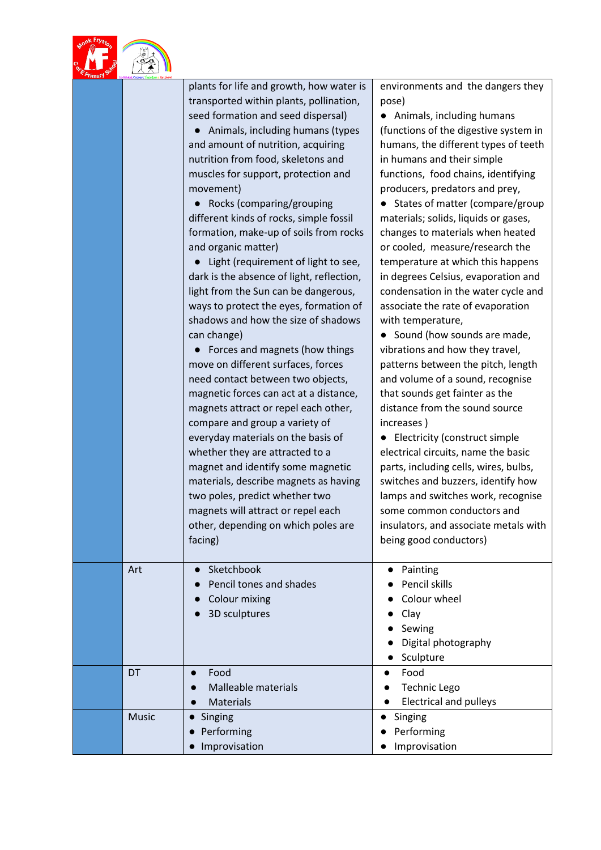|              | plants for life and growth, how water is<br>transported within plants, pollination,<br>seed formation and seed dispersal)<br>Animals, including humans (types<br>and amount of nutrition, acquiring<br>nutrition from food, skeletons and<br>muscles for support, protection and<br>movement)<br>Rocks (comparing/grouping<br>different kinds of rocks, simple fossil<br>formation, make-up of soils from rocks<br>and organic matter)<br>Light (requirement of light to see,<br>dark is the absence of light, reflection,<br>light from the Sun can be dangerous,<br>ways to protect the eyes, formation of<br>shadows and how the size of shadows<br>can change)<br>Forces and magnets (how things<br>move on different surfaces, forces<br>need contact between two objects,<br>magnetic forces can act at a distance,<br>magnets attract or repel each other,<br>compare and group a variety of<br>everyday materials on the basis of<br>whether they are attracted to a<br>magnet and identify some magnetic<br>materials, describe magnets as having<br>two poles, predict whether two<br>magnets will attract or repel each<br>other, depending on which poles are<br>facing) | environments and the dangers they<br>pose)<br>• Animals, including humans<br>(functions of the digestive system in<br>humans, the different types of teeth<br>in humans and their simple<br>functions, food chains, identifying<br>producers, predators and prey,<br>States of matter (compare/group<br>materials; solids, liquids or gases,<br>changes to materials when heated<br>or cooled, measure/research the<br>temperature at which this happens<br>in degrees Celsius, evaporation and<br>condensation in the water cycle and<br>associate the rate of evaporation<br>with temperature,<br>• Sound (how sounds are made,<br>vibrations and how they travel,<br>patterns between the pitch, length<br>and volume of a sound, recognise<br>that sounds get fainter as the<br>distance from the sound source<br>increases)<br>• Electricity (construct simple<br>electrical circuits, name the basic<br>parts, including cells, wires, bulbs,<br>switches and buzzers, identify how<br>lamps and switches work, recognise<br>some common conductors and<br>insulators, and associate metals with<br>being good conductors) |
|--------------|--------------------------------------------------------------------------------------------------------------------------------------------------------------------------------------------------------------------------------------------------------------------------------------------------------------------------------------------------------------------------------------------------------------------------------------------------------------------------------------------------------------------------------------------------------------------------------------------------------------------------------------------------------------------------------------------------------------------------------------------------------------------------------------------------------------------------------------------------------------------------------------------------------------------------------------------------------------------------------------------------------------------------------------------------------------------------------------------------------------------------------------------------------------------------------------|----------------------------------------------------------------------------------------------------------------------------------------------------------------------------------------------------------------------------------------------------------------------------------------------------------------------------------------------------------------------------------------------------------------------------------------------------------------------------------------------------------------------------------------------------------------------------------------------------------------------------------------------------------------------------------------------------------------------------------------------------------------------------------------------------------------------------------------------------------------------------------------------------------------------------------------------------------------------------------------------------------------------------------------------------------------------------------------------------------------------------------|
| Art          | Sketchbook<br>$\bullet$<br>Pencil tones and shades<br><b>Colour mixing</b><br>3D sculptures                                                                                                                                                                                                                                                                                                                                                                                                                                                                                                                                                                                                                                                                                                                                                                                                                                                                                                                                                                                                                                                                                          | Painting<br>Pencil skills<br>Colour wheel<br>Clay<br>Sewing<br>Digital photography<br>Sculpture                                                                                                                                                                                                                                                                                                                                                                                                                                                                                                                                                                                                                                                                                                                                                                                                                                                                                                                                                                                                                                  |
| DT           | Food<br>$\bullet$<br><b>Malleable materials</b><br><b>Materials</b>                                                                                                                                                                                                                                                                                                                                                                                                                                                                                                                                                                                                                                                                                                                                                                                                                                                                                                                                                                                                                                                                                                                  | Food<br>$\bullet$<br><b>Technic Lego</b><br><b>Electrical and pulleys</b>                                                                                                                                                                                                                                                                                                                                                                                                                                                                                                                                                                                                                                                                                                                                                                                                                                                                                                                                                                                                                                                        |
| <b>Music</b> | Singing<br>Performing<br>Improvisation                                                                                                                                                                                                                                                                                                                                                                                                                                                                                                                                                                                                                                                                                                                                                                                                                                                                                                                                                                                                                                                                                                                                               | Singing<br>Performing<br>Improvisation                                                                                                                                                                                                                                                                                                                                                                                                                                                                                                                                                                                                                                                                                                                                                                                                                                                                                                                                                                                                                                                                                           |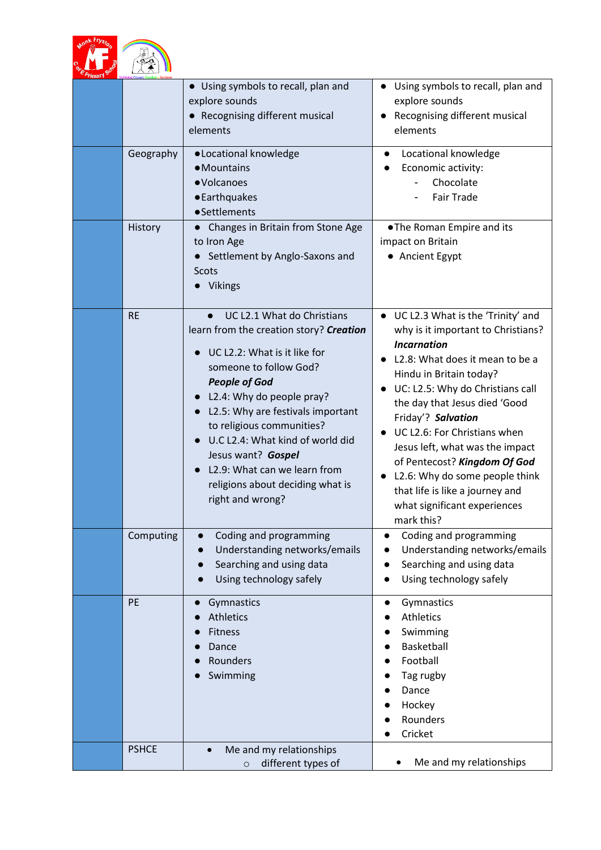|              | • Using symbols to recall, plan and<br>explore sounds<br>• Recognising different musical<br>elements                                                                                                                                                                                                                                                                                                                  | Using symbols to recall, plan and<br>$\bullet$<br>explore sounds<br>Recognising different musical<br>$\bullet$<br>elements                                                                                                                                                                                                                                                                                                                                                                  |
|--------------|-----------------------------------------------------------------------------------------------------------------------------------------------------------------------------------------------------------------------------------------------------------------------------------------------------------------------------------------------------------------------------------------------------------------------|---------------------------------------------------------------------------------------------------------------------------------------------------------------------------------------------------------------------------------------------------------------------------------------------------------------------------------------------------------------------------------------------------------------------------------------------------------------------------------------------|
| Geography    | · Locational knowledge<br>• Mountains<br>· Volcanoes<br>• Earthquakes<br>• Settlements                                                                                                                                                                                                                                                                                                                                | Locational knowledge<br>Economic activity:<br>Chocolate<br><b>Fair Trade</b>                                                                                                                                                                                                                                                                                                                                                                                                                |
| History      | Changes in Britain from Stone Age<br>to Iron Age<br>Settlement by Anglo-Saxons and<br>Scots<br><b>Vikings</b>                                                                                                                                                                                                                                                                                                         | . The Roman Empire and its<br>impact on Britain<br>• Ancient Egypt                                                                                                                                                                                                                                                                                                                                                                                                                          |
| <b>RE</b>    | UC L2.1 What do Christians<br>$\bullet$<br>learn from the creation story? Creation<br>UC L2.2: What is it like for<br>someone to follow God?<br><b>People of God</b><br>L2.4: Why do people pray?<br>L2.5: Why are festivals important<br>to religious communities?<br>U.C L2.4: What kind of world did<br>Jesus want? Gospel<br>L2.9: What can we learn from<br>religions about deciding what is<br>right and wrong? | • UC L2.3 What is the 'Trinity' and<br>why is it important to Christians?<br><b>Incarnation</b><br>L2.8: What does it mean to be a<br>Hindu in Britain today?<br>UC: L2.5: Why do Christians call<br>$\bullet$<br>the day that Jesus died 'Good<br>Friday'? Salvation<br>UC L2.6: For Christians when<br>Jesus left, what was the impact<br>of Pentecost? Kingdom Of God<br>L2.6: Why do some people think<br>that life is like a journey and<br>what significant experiences<br>mark this? |
| Computing    | Coding and programming<br>Understanding networks/emails<br>Searching and using data<br>Using technology safely                                                                                                                                                                                                                                                                                                        | Coding and programming<br>Understanding networks/emails<br>Searching and using data<br>Using technology safely                                                                                                                                                                                                                                                                                                                                                                              |
| PE           | Gymnastics<br><b>Athletics</b><br>Fitness<br>Dance<br>Rounders<br>Swimming                                                                                                                                                                                                                                                                                                                                            | Gymnastics<br>$\bullet$<br><b>Athletics</b><br>Swimming<br>Basketball<br>Football<br>Tag rugby<br>Dance<br>Hockey<br>Rounders<br>Cricket                                                                                                                                                                                                                                                                                                                                                    |
| <b>PSHCE</b> | Me and my relationships<br>different types of<br>$\circ$                                                                                                                                                                                                                                                                                                                                                              | Me and my relationships                                                                                                                                                                                                                                                                                                                                                                                                                                                                     |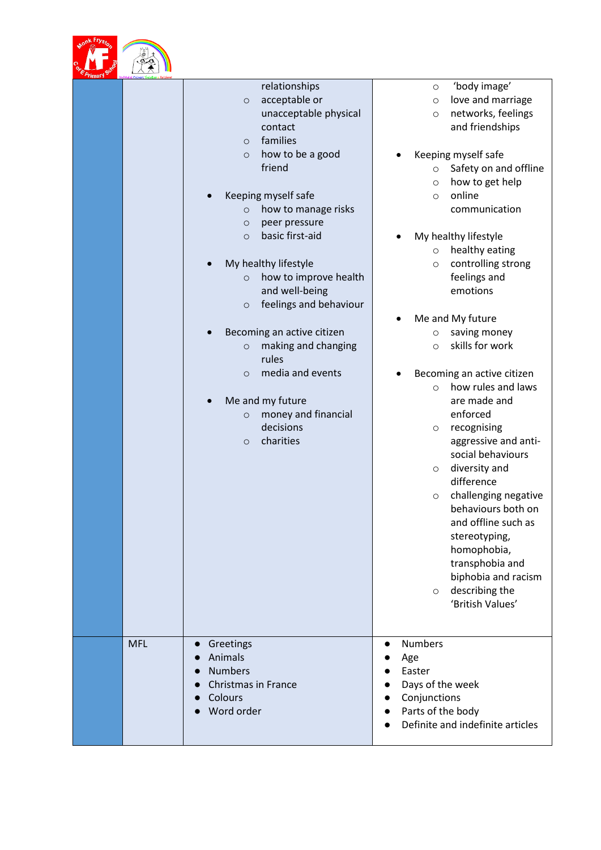

| E Primary Su | $\sqrt{2}$ |                                                                                                                                                                                                                                                                                                                                                                                                                                                                                                                                                                                        |                                                                                                                                                                                                                                                                                                                                                                                                                                                                                                                                                                                                                                                                                                                                       |
|--------------|------------|----------------------------------------------------------------------------------------------------------------------------------------------------------------------------------------------------------------------------------------------------------------------------------------------------------------------------------------------------------------------------------------------------------------------------------------------------------------------------------------------------------------------------------------------------------------------------------------|---------------------------------------------------------------------------------------------------------------------------------------------------------------------------------------------------------------------------------------------------------------------------------------------------------------------------------------------------------------------------------------------------------------------------------------------------------------------------------------------------------------------------------------------------------------------------------------------------------------------------------------------------------------------------------------------------------------------------------------|
|              |            | relationships<br>acceptable or<br>$\circ$<br>unacceptable physical<br>contact<br>families<br>$\circ$<br>how to be a good<br>$\circ$<br>friend<br>Keeping myself safe<br>how to manage risks<br>$\circ$<br>peer pressure<br>$\circ$<br>basic first-aid<br>$\circ$<br>My healthy lifestyle<br>how to improve health<br>$\circ$<br>and well-being<br>feelings and behaviour<br>$\circ$<br>Becoming an active citizen<br>making and changing<br>$\circ$<br>rules<br>media and events<br>$\circ$<br>Me and my future<br>money and financial<br>$\circ$<br>decisions<br>charities<br>$\circ$ | 'body image'<br>$\circ$<br>love and marriage<br>$\circ$<br>networks, feelings<br>$\circ$<br>and friendships<br>Keeping myself safe<br>Safety on and offline<br>$\circ$<br>how to get help<br>$\circ$<br>online<br>$\circ$<br>communication<br>My healthy lifestyle<br>healthy eating<br>$\circ$<br>controlling strong<br>$\circ$<br>feelings and<br>emotions<br>Me and My future<br>saving money<br>$\circ$<br>skills for work<br>$\circ$<br>Becoming an active citizen<br>how rules and laws<br>$\circ$<br>are made and<br>enforced<br>recognising<br>$\circ$<br>aggressive and anti-<br>social behaviours<br>diversity and<br>$\circ$<br>difference<br>challenging negative<br>$\circ$<br>behaviours both on<br>and offline such as |
|              |            |                                                                                                                                                                                                                                                                                                                                                                                                                                                                                                                                                                                        | stereotyping,<br>homophobia,<br>transphobia and<br>biphobia and racism<br>describing the<br>$\circ$<br>'British Values'                                                                                                                                                                                                                                                                                                                                                                                                                                                                                                                                                                                                               |
|              | <b>MFL</b> | Greetings<br>$\bullet$<br>Animals<br><b>Numbers</b><br><b>Christmas in France</b><br>Colours<br>Word order                                                                                                                                                                                                                                                                                                                                                                                                                                                                             | <b>Numbers</b><br>$\bullet$<br>Age<br>Easter<br>Days of the week<br>Conjunctions<br>Parts of the body<br>Definite and indefinite articles                                                                                                                                                                                                                                                                                                                                                                                                                                                                                                                                                                                             |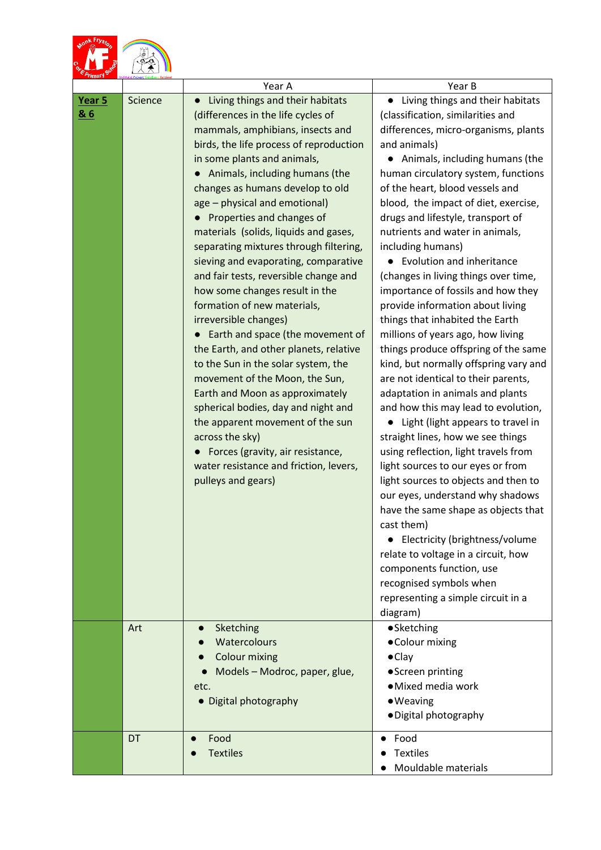|               |         | Year A                                                                                                                                                                                                                                                                                                                                                                                                                                                                                                                                                                                                                                                                                                                                                                                                                                                                                                                                                                             | Year B                                                                                                                                                                                                                                                                                                                                                                                                                                                                                                                                                                                                                                                                                                                                                                                                                                                                                                                                                                                                                                                                                                                                                                                                                                                                                              |
|---------------|---------|------------------------------------------------------------------------------------------------------------------------------------------------------------------------------------------------------------------------------------------------------------------------------------------------------------------------------------------------------------------------------------------------------------------------------------------------------------------------------------------------------------------------------------------------------------------------------------------------------------------------------------------------------------------------------------------------------------------------------------------------------------------------------------------------------------------------------------------------------------------------------------------------------------------------------------------------------------------------------------|-----------------------------------------------------------------------------------------------------------------------------------------------------------------------------------------------------------------------------------------------------------------------------------------------------------------------------------------------------------------------------------------------------------------------------------------------------------------------------------------------------------------------------------------------------------------------------------------------------------------------------------------------------------------------------------------------------------------------------------------------------------------------------------------------------------------------------------------------------------------------------------------------------------------------------------------------------------------------------------------------------------------------------------------------------------------------------------------------------------------------------------------------------------------------------------------------------------------------------------------------------------------------------------------------------|
| Year 5<br>8.6 | Science | Living things and their habitats<br>(differences in the life cycles of<br>mammals, amphibians, insects and<br>birds, the life process of reproduction<br>in some plants and animals,<br>Animals, including humans (the<br>changes as humans develop to old<br>age - physical and emotional)<br>Properties and changes of<br>materials (solids, liquids and gases,<br>separating mixtures through filtering,<br>sieving and evaporating, comparative<br>and fair tests, reversible change and<br>how some changes result in the<br>formation of new materials,<br>irreversible changes)<br>Earth and space (the movement of<br>the Earth, and other planets, relative<br>to the Sun in the solar system, the<br>movement of the Moon, the Sun,<br>Earth and Moon as approximately<br>spherical bodies, day and night and<br>the apparent movement of the sun<br>across the sky)<br>Forces (gravity, air resistance,<br>water resistance and friction, levers,<br>pulleys and gears) | Living things and their habitats<br>(classification, similarities and<br>differences, micro-organisms, plants<br>and animals)<br>• Animals, including humans (the<br>human circulatory system, functions<br>of the heart, blood vessels and<br>blood, the impact of diet, exercise,<br>drugs and lifestyle, transport of<br>nutrients and water in animals,<br>including humans)<br>• Evolution and inheritance<br>(changes in living things over time,<br>importance of fossils and how they<br>provide information about living<br>things that inhabited the Earth<br>millions of years ago, how living<br>things produce offspring of the same<br>kind, but normally offspring vary and<br>are not identical to their parents,<br>adaptation in animals and plants<br>and how this may lead to evolution,<br>Light (light appears to travel in<br>straight lines, how we see things<br>using reflection, light travels from<br>light sources to our eyes or from<br>light sources to objects and then to<br>our eyes, understand why shadows<br>have the same shape as objects that<br>cast them)<br>Electricity (brightness/volume<br>$\bullet$<br>relate to voltage in a circuit, how<br>components function, use<br>recognised symbols when<br>representing a simple circuit in a<br>diagram) |
|               | Art     | Sketching<br>Watercolours<br><b>Colour mixing</b><br>Models - Modroc, paper, glue,<br>etc.<br>• Digital photography                                                                                                                                                                                                                                                                                                                                                                                                                                                                                                                                                                                                                                                                                                                                                                                                                                                                | ·Sketching<br>• Colour mixing<br>$\bullet$ Clay<br>• Screen printing<br>·Mixed media work<br>· Weaving<br>· Digital photography                                                                                                                                                                                                                                                                                                                                                                                                                                                                                                                                                                                                                                                                                                                                                                                                                                                                                                                                                                                                                                                                                                                                                                     |
|               | DT      | Food<br>$\bullet$<br><b>Textiles</b>                                                                                                                                                                                                                                                                                                                                                                                                                                                                                                                                                                                                                                                                                                                                                                                                                                                                                                                                               | Food<br>$\bullet$<br><b>Textiles</b><br>Mouldable materials                                                                                                                                                                                                                                                                                                                                                                                                                                                                                                                                                                                                                                                                                                                                                                                                                                                                                                                                                                                                                                                                                                                                                                                                                                         |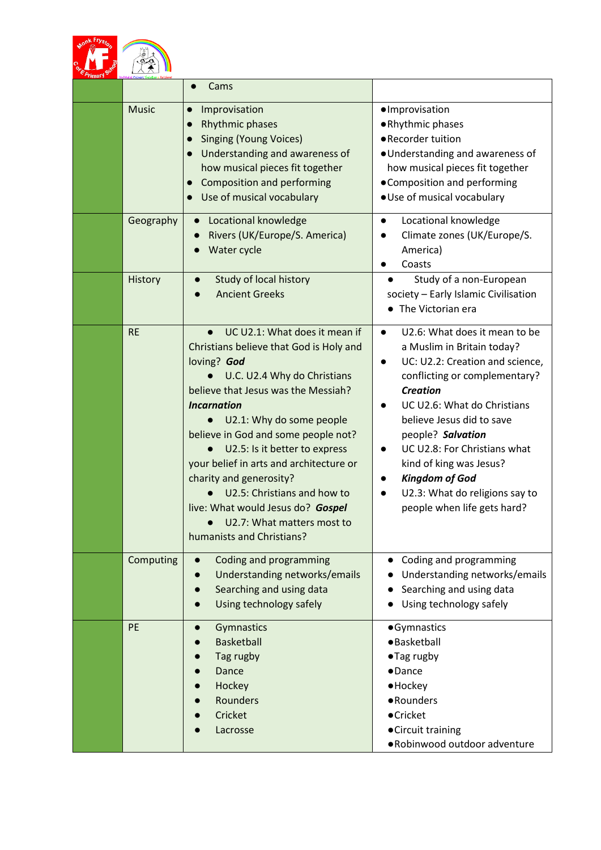|              | Cams                                                                                                                                                                                                                                                                                                                                                                                                                                                                                         |                                                                                                                                                                                                                                                                                                                                                                                                                                                           |
|--------------|----------------------------------------------------------------------------------------------------------------------------------------------------------------------------------------------------------------------------------------------------------------------------------------------------------------------------------------------------------------------------------------------------------------------------------------------------------------------------------------------|-----------------------------------------------------------------------------------------------------------------------------------------------------------------------------------------------------------------------------------------------------------------------------------------------------------------------------------------------------------------------------------------------------------------------------------------------------------|
| <b>Music</b> | Improvisation<br>$\bullet$<br>Rhythmic phases<br><b>Singing (Young Voices)</b><br>Understanding and awareness of<br>how musical pieces fit together<br>Composition and performing<br>$\bullet$<br>Use of musical vocabulary                                                                                                                                                                                                                                                                  | · Improvisation<br>·Rhythmic phases<br>• Recorder tuition<br>· Understanding and awareness of<br>how musical pieces fit together<br>• Composition and performing<br>· Use of musical vocabulary                                                                                                                                                                                                                                                           |
| Geography    | Locational knowledge<br>Rivers (UK/Europe/S. America)<br>Water cycle                                                                                                                                                                                                                                                                                                                                                                                                                         | Locational knowledge<br>$\bullet$<br>Climate zones (UK/Europe/S.<br>$\bullet$<br>America)<br>Coasts<br>$\bullet$                                                                                                                                                                                                                                                                                                                                          |
| History      | Study of local history<br><b>Ancient Greeks</b>                                                                                                                                                                                                                                                                                                                                                                                                                                              | Study of a non-European<br>society - Early Islamic Civilisation<br>The Victorian era                                                                                                                                                                                                                                                                                                                                                                      |
| <b>RE</b>    | UC U2.1: What does it mean if<br>Christians believe that God is Holy and<br>loving? God<br>U.C. U2.4 Why do Christians<br>believe that Jesus was the Messiah?<br><b>Incarnation</b><br>U2.1: Why do some people<br>believe in God and some people not?<br>U2.5: Is it better to express<br>your belief in arts and architecture or<br>charity and generosity?<br>U2.5: Christians and how to<br>live: What would Jesus do? Gospel<br>U2.7: What matters most to<br>humanists and Christians? | U2.6: What does it mean to be<br>$\bullet$<br>a Muslim in Britain today?<br>UC: U2.2: Creation and science,<br>$\bullet$<br>conflicting or complementary?<br><b>Creation</b><br>UC U2.6: What do Christians<br>$\bullet$<br>believe Jesus did to save<br>people? Salvation<br>UC U2.8: For Christians what<br>$\bullet$<br>kind of king was Jesus?<br><b>Kingdom of God</b><br>U2.3: What do religions say to<br>$\bullet$<br>people when life gets hard? |
| Computing    | Coding and programming<br>Understanding networks/emails<br>Searching and using data<br>Using technology safely                                                                                                                                                                                                                                                                                                                                                                               | Coding and programming<br>Understanding networks/emails<br>Searching and using data<br>Using technology safely                                                                                                                                                                                                                                                                                                                                            |
| PE           | Gymnastics<br><b>Basketball</b><br>Tag rugby<br>Dance<br>Hockey<br>Rounders<br>Cricket<br>Lacrosse                                                                                                                                                                                                                                                                                                                                                                                           | ·Gymnastics<br>· Basketball<br>• Tag rugby<br>$\bullet$ Dance<br>$\bullet$ Hockey<br>• Rounders<br>• Cricket<br>• Circuit training<br>. Robinwood outdoor adventure                                                                                                                                                                                                                                                                                       |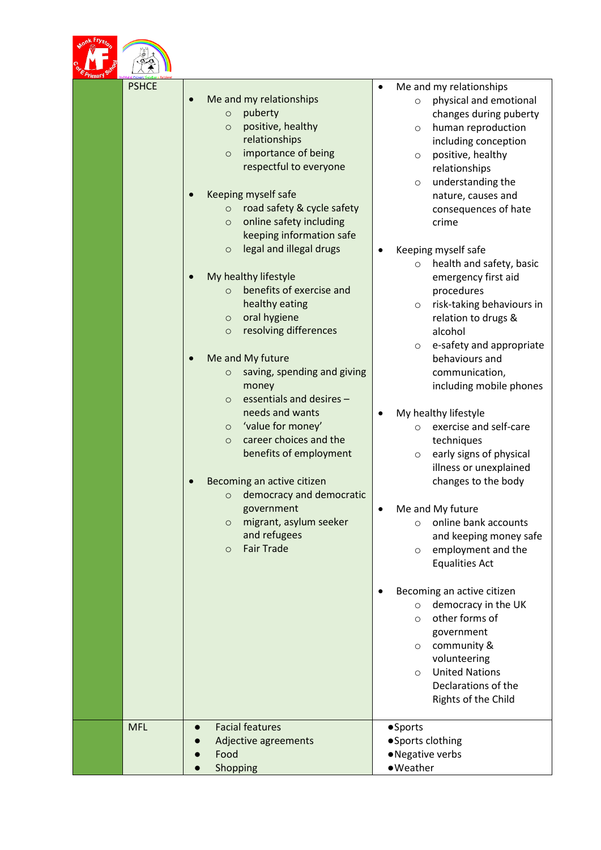

| <b>PSHCE</b> | Me and my relationships                                        | Me and my relationships<br>physical and emotional<br>$\circ$ |
|--------------|----------------------------------------------------------------|--------------------------------------------------------------|
|              | puberty<br>$\circ$                                             | changes during puberty                                       |
|              | positive, healthy<br>$\circ$                                   | human reproduction<br>$\circ$                                |
|              | relationships                                                  | including conception                                         |
|              | importance of being<br>$\circ$                                 | positive, healthy<br>$\circ$                                 |
|              | respectful to everyone                                         | relationships                                                |
|              |                                                                | understanding the<br>$\circ$                                 |
|              | Keeping myself safe<br>$\bullet$                               | nature, causes and                                           |
|              | road safety & cycle safety<br>$\circ$                          | consequences of hate                                         |
|              | online safety including<br>$\circ$<br>keeping information safe | crime                                                        |
|              | legal and illegal drugs<br>$\circ$                             |                                                              |
|              |                                                                | Keeping myself safe                                          |
|              | My healthy lifestyle                                           | health and safety, basic<br>$\circ$                          |
|              | benefits of exercise and<br>$\circ$                            | emergency first aid<br>procedures                            |
|              | healthy eating                                                 | risk-taking behaviours in<br>$\circ$                         |
|              | oral hygiene<br>$\circ$                                        | relation to drugs &                                          |
|              | resolving differences<br>$\circ$                               | alcohol                                                      |
|              |                                                                | e-safety and appropriate<br>$\circ$                          |
|              | Me and My future                                               | behaviours and                                               |
|              | saving, spending and giving<br>$\circ$                         | communication,                                               |
|              | money                                                          | including mobile phones                                      |
|              | essentials and desires -<br>$\circ$                            |                                                              |
|              | needs and wants                                                | My healthy lifestyle                                         |
|              | 'value for money'<br>$\circ$                                   | exercise and self-care<br>$\circ$                            |
|              | career choices and the<br>$\circ$                              | techniques                                                   |
|              | benefits of employment                                         | early signs of physical<br>$\circ$                           |
|              |                                                                | illness or unexplained                                       |
|              | Becoming an active citizen                                     | changes to the body                                          |
|              | democracy and democratic<br>$\circ$                            |                                                              |
|              | government                                                     | Me and My future<br>٠                                        |
|              | migrant, asylum seeker<br>$\circ$<br>and refugees              | online bank accounts<br>$\circ$<br>and keeping money safe    |
|              | <b>Fair Trade</b><br>$\circ$                                   | employment and the<br>$\circ$                                |
|              |                                                                | <b>Equalities Act</b>                                        |
|              |                                                                |                                                              |
|              |                                                                | Becoming an active citizen                                   |
|              |                                                                | democracy in the UK<br>$\circ$                               |
|              |                                                                | other forms of<br>$\circ$                                    |
|              |                                                                | government                                                   |
|              |                                                                | community &<br>$\circ$                                       |
|              |                                                                | volunteering                                                 |
|              |                                                                | <b>United Nations</b><br>$\circ$                             |
|              |                                                                | Declarations of the                                          |
|              |                                                                | Rights of the Child                                          |
|              |                                                                |                                                              |
| <b>MFL</b>   | <b>Facial features</b><br>$\bullet$                            | •Sports                                                      |
|              | Adjective agreements<br>Food                                   | ● Sports clothing<br>• Negative verbs                        |
|              | Shopping<br>$\bullet$                                          | • Weather                                                    |
|              |                                                                |                                                              |